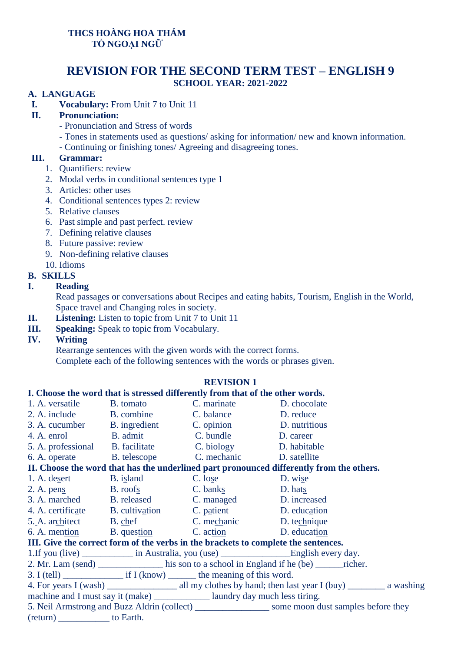# **THCS HOÀNG HOA THÁM TỔ NGOẠI NGỮ**

# **REVISION FOR THE SECOND TERM TEST – ENGLISH 9 SCHOOL YEAR: 2021-2022**

### **A. LANGUAGE**

**I. Vocabulary:** From Unit 7 to Unit 11

## **II. Pronunciation:**

- Pronunciation and Stress of words
- Tones in statements used as questions/ asking for information/ new and known information.
- Continuing or finishing tones/ Agreeing and disagreeing tones.

#### **III. Grammar:**

- 1. Quantifiers: review
- 2. Modal verbs in conditional sentences type 1
- 3. Articles: other uses
- 4. Conditional sentences types 2: review
- 5. Relative clauses
- 6. Past simple and past perfect. review
- 7. Defining relative clauses
- 8. Future passive: review
- 9. Non-defining relative clauses
- 10. Idioms

## **B. SKILLS**

## **I. Reading**

Read passages or conversations about Recipes and eating habits, Tourism, English in the World, Space travel and Changing roles in society.

- **II. Listening:** Listen to topic from Unit 7 to Unit 11
- **III. Speaking:** Speak to topic from Vocabulary.
- **IV. Writing**

Rearrange sentences with the given words with the correct forms.

Complete each of the following sentences with the words or phrases given.

#### **REVISION 1**

#### **I. Choose the word that is stressed differently from that of the other words.**

| 1. A. versatile B. tomato                                                                            |                          | C. marinate                                              | D. chocolate |  |  |  |
|------------------------------------------------------------------------------------------------------|--------------------------|----------------------------------------------------------|--------------|--|--|--|
|                                                                                                      | 2. A. include B. combine | C. balance                                               | D. reduce    |  |  |  |
|                                                                                                      |                          | 3. A. cucumber B. ingredient C. opinion D. nutritious    |              |  |  |  |
|                                                                                                      |                          | 4. A. enrol B. admit C. bundle D. career                 |              |  |  |  |
|                                                                                                      |                          | 5. A. professional B. facilitate C. biology              | D. habitable |  |  |  |
|                                                                                                      |                          | 6. A. operate B. telescope C. mechanic D. satellite      |              |  |  |  |
| II. Choose the word that has the underlined part pronounced differently from the others.             |                          |                                                          |              |  |  |  |
| 1. A. desert B. island                                                                               |                          | C. lose D. wise                                          |              |  |  |  |
| 2. A. pens B. roofs                                                                                  |                          | $C.$ banks                                               | D. hats      |  |  |  |
|                                                                                                      |                          | 3. A. marched B. released C. managed                     | D. increased |  |  |  |
|                                                                                                      |                          | 4. A. certificate B. cultivation C. patient D. education |              |  |  |  |
|                                                                                                      |                          | 5. A. architect B. chef C. mechanic D. technique         |              |  |  |  |
|                                                                                                      |                          | 6. A. mention B. question C. action D. education         |              |  |  |  |
| III. Give the correct form of the verbs in the brackets to complete the sentences.                   |                          |                                                          |              |  |  |  |
|                                                                                                      |                          |                                                          |              |  |  |  |
| 2. Mr. Lam (send) _____________ his son to a school in England if he (be) _______ richer.            |                          |                                                          |              |  |  |  |
|                                                                                                      |                          |                                                          |              |  |  |  |
|                                                                                                      |                          |                                                          |              |  |  |  |
| machine and I must say it (make) ______________ laundry day much less tiring.                        |                          |                                                          |              |  |  |  |
| 5. Neil Armstrong and Buzz Aldrin (collect) _____________________ some moon dust samples before they |                          |                                                          |              |  |  |  |
| $(\text{return})$ to Earth.                                                                          |                          |                                                          |              |  |  |  |
|                                                                                                      |                          |                                                          |              |  |  |  |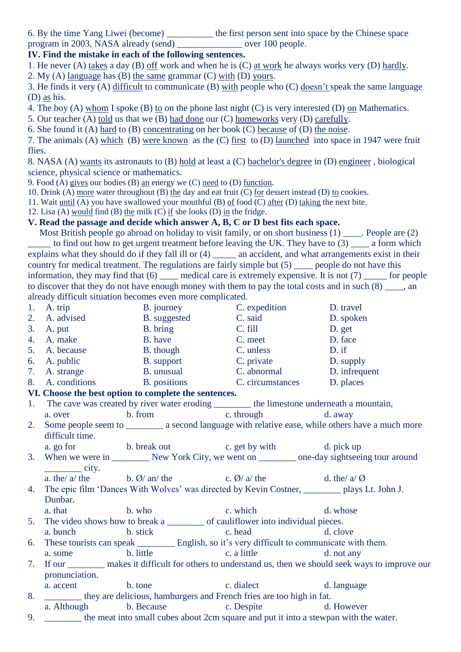6. By the time Yang Liwei (become) \_\_\_\_\_\_\_\_\_\_ the first person sent into space by the Chinese space

program in 2003, NASA already (send) over 100 people.

**IV. Find the mistake in each of the following sentences.**

1. He never (A) takes a day (B) off work and when he is (C) at work he always works very (D) hardly.

2. My (A) language has (B) the same grammar (C) with (D) yours.

3. He finds it very (A) difficult to communicate (B) with people who (C) doesn't speak the same language (D) as his.

4. The boy (A) whom I spoke (B) to on the phone last night (C) is very interested (D) on Mathematics.

5. Our teacher (A) told us that we (B) had done our (C) homeworks very (D) carefully.

6. She found it (A) hard to (B) concentrating on her book (C) because of (D) the noise.

7. The animals (A) which (B) were known as the (C) first to (D) launched into space in 1947 were fruit flies.

8. NASA (A) wants its astronauts to (B) hold at least a (C) bachelor's degree in (D) engineer , biological science, physical science or mathematics.

9. Food (A) gives our bodies (B) an energy we (C) need to (D) function.

10. Drink (A) more water throughout (B) the day and eat fruit (C) for dessert instead (D) to cookies.

11. Wait until (A) you have swallowed your mouthful (B) of food (C) after (D) taking the next bite.

12. Lisa (A) would find (B) the milk (C) if she looks (D) in the fridge.

# **V. Read the passage and decide which answer A, B, C or D best fits each space.**

 Most British people go abroad on holiday to visit family, or on short business (1) \_\_\_\_. People are (2)  $\equiv$  to find out how to get urgent treatment before leaving the UK. They have to (3)  $\equiv$  a form which explains what they should do if they fall ill or (4) \_\_\_\_\_\_ an accident, and what arrangements exist in their country for medical treatment. The regulations are fairly simple but (5) \_\_\_\_\_ people do not have this information, they may find that  $(6)$  \_\_\_\_\_ medical care is extremely expensive. It is not  $(7)$  \_\_\_\_\_ for people to discover that they do not have enough money with them to pay the total costs and in such  $(8)$ , an already difficult situation becomes even more complicated.

- 1. A. trip B. journey C. expedition D. travel 2. A. advised B. suggested C. said D. spoken 3. A. put B. bring C. fill D. get 4. A. make B. have C. meet D. face 5. A. because B. though C. unless D. if<br>
5. A. public B. support C. private D. su 6. A. public B. support B. private D. supply<br>
5. A. strange B. unusual C. abnormal D. infrequ 7. A. strange B. unusual C. abnormal D. infrequent 8. A. conditions B. positions C. circumstances D. places **VI. Choose the best option to complete the sentences.**  1. The cave was created by river water eroding \_\_\_\_\_\_\_\_\_ the limestone underneath a mountain, a. over b. from c. through d. away 2. Some people seem to \_\_\_\_\_\_\_\_\_ a second language with relative ease, while others have a much more difficult time. a. go for b. break out c. get by with d. pick up 3. When we were in \_\_\_\_\_\_\_\_ New York City, we went on \_\_\_\_\_\_\_\_ one-day sightseeing tour around  $\rule{1em}{0.15mm}$  city. a. the/  $a$ / the b. Ø/ an/ the c. Ø/  $a$ / the d. the/  $a$ / Ø 4. The epic film 'Dances With Wolves' was directed by Kevin Costner, \_\_\_\_\_\_\_\_ plays Lt. John J. Dunbar. a. that b. who c. which d. whose 5. The video shows how to break a \_\_\_\_\_\_\_\_\_\_ of cauliflower into individual pieces. a. bunch b. stick c. head d. clove 6. These tourists can speak \_\_\_\_\_\_\_\_ English, so it's very difficult to communicate with them. a. some b. little c. a little d. not any 7. If our makes it difficult for others to understand us, then we should seek ways to improve our pronunciation. a. accent b. tone c. dialect d. language 8. \_\_\_\_\_\_\_\_ they are delicious, hamburgers and French fries are too high in fat. a. Although b. Because c. Despite d. However
- 9. \_\_\_\_\_\_\_\_ the meat into small cubes about 2cm square and put it into a stewpan with the water.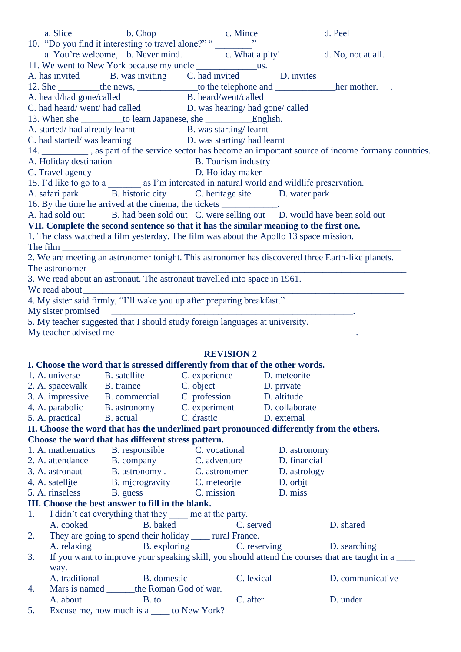|    |                          | a. Slice b. Chop c. Mince d. Peel<br>10. "Do you find it interesting to travel alone?" "<br>a. You're welcome, b. Never mind. $\frac{c}{c}$ . What a pity! d. No, not at all.<br>11. We went to Never Match by the heat        |            |                      |                           |                                                                                                            |
|----|--------------------------|--------------------------------------------------------------------------------------------------------------------------------------------------------------------------------------------------------------------------------|------------|----------------------|---------------------------|------------------------------------------------------------------------------------------------------------|
|    |                          |                                                                                                                                                                                                                                |            |                      |                           |                                                                                                            |
|    |                          | A. has invited B. was inviting C. had invited D. invites                                                                                                                                                                       |            |                      |                           |                                                                                                            |
|    |                          | 12. She __________ the news, ___________________ to the telephone and ___________________her mother. .                                                                                                                         |            |                      |                           |                                                                                                            |
|    | A. heard/had gone/called |                                                                                                                                                                                                                                |            | B. heard/went/called |                           |                                                                                                            |
|    |                          | C. had heard/went/had called D. was hearing/had gone/called                                                                                                                                                                    |            |                      |                           |                                                                                                            |
|    |                          |                                                                                                                                                                                                                                |            |                      |                           |                                                                                                            |
|    |                          | A. started/had already learnt B. was starting/learnt                                                                                                                                                                           |            |                      |                           |                                                                                                            |
|    |                          | C. had started/was learning D. was starting/had learnt                                                                                                                                                                         |            |                      |                           |                                                                                                            |
|    |                          |                                                                                                                                                                                                                                |            |                      |                           | 14. ___________, as part of the service sector has become an important source of income formany countries. |
|    |                          |                                                                                                                                                                                                                                |            |                      |                           |                                                                                                            |
|    |                          | A. Holiday destination<br>B. Tourism industry<br>C. Travel agency<br>D. Holiday maker                                                                                                                                          |            |                      |                           |                                                                                                            |
|    |                          | 15. I'd like to go to a __________ as I'm interested in natural world and wildlife preservation.                                                                                                                               |            |                      |                           |                                                                                                            |
|    |                          | A. safari park B. historic city C. heritage site D. water park                                                                                                                                                                 |            |                      |                           |                                                                                                            |
|    |                          | 16. By the time he arrived at the cinema, the tickets ____________.                                                                                                                                                            |            |                      |                           |                                                                                                            |
|    |                          | A. had sold out B. had been sold out C. were selling out D. would have been sold out                                                                                                                                           |            |                      |                           |                                                                                                            |
|    |                          | VII. Complete the second sentence so that it has the similar meaning to the first one.                                                                                                                                         |            |                      |                           |                                                                                                            |
|    |                          | 1. The class watched a film yesterday. The film was about the Apollo 13 space mission.                                                                                                                                         |            |                      |                           |                                                                                                            |
|    |                          | The film $\frac{1}{\sqrt{1-\frac{1}{2}}\left(\frac{1}{2}\right)}$                                                                                                                                                              |            |                      |                           |                                                                                                            |
|    |                          | 2. We are meeting an astronomer tonight. This astronomer has discovered three Earth-like planets.                                                                                                                              |            |                      |                           |                                                                                                            |
|    | The astronomer           |                                                                                                                                                                                                                                |            |                      |                           |                                                                                                            |
|    |                          | 3. We read about an astronaut. The astronaut travelled into space in 1961.                                                                                                                                                     |            |                      |                           |                                                                                                            |
|    |                          | We read about the same state of the state of the state of the state of the state of the state of the state of the state of the state of the state of the state of the state of the state of the state of the state of the stat |            |                      |                           |                                                                                                            |
|    |                          | 4. My sister said firmly, "I'll wake you up after preparing breakfast."                                                                                                                                                        |            |                      |                           |                                                                                                            |
|    |                          |                                                                                                                                                                                                                                |            |                      |                           |                                                                                                            |
|    |                          |                                                                                                                                                                                                                                |            |                      |                           |                                                                                                            |
|    |                          | 5. My teacher suggested that I should study foreign languages at university.                                                                                                                                                   |            |                      |                           |                                                                                                            |
|    |                          |                                                                                                                                                                                                                                |            |                      |                           |                                                                                                            |
|    |                          |                                                                                                                                                                                                                                |            |                      |                           |                                                                                                            |
|    |                          |                                                                                                                                                                                                                                |            | <b>REVISION 2</b>    |                           |                                                                                                            |
|    |                          | I. Choose the word that is stressed differently from that of the other words.                                                                                                                                                  |            |                      |                           |                                                                                                            |
|    |                          | 1. A. universe B. satellite C. experience D. meteorite                                                                                                                                                                         |            |                      |                           |                                                                                                            |
|    | 2. A. spacewalk          | B. trainee                                                                                                                                                                                                                     | C. object  |                      | D. private                |                                                                                                            |
|    | 3. A. impressive         | B. commercial                                                                                                                                                                                                                  |            | C. profession        | D. altitude               |                                                                                                            |
|    | 4. A. parabolic          | B. astronomy                                                                                                                                                                                                                   |            | C. experiment        | D. collaborate            |                                                                                                            |
|    | 5. A. practical          | <b>B.</b> actual                                                                                                                                                                                                               | C. drastic |                      | D. external               |                                                                                                            |
|    |                          | II. Choose the word that has the underlined part pronounced differently from the others.                                                                                                                                       |            |                      |                           |                                                                                                            |
|    |                          | Choose the word that has different stress pattern.                                                                                                                                                                             |            |                      |                           |                                                                                                            |
|    |                          | 1. A. mathematics B. responsible                                                                                                                                                                                               |            | C. vocational        | D. astronomy              |                                                                                                            |
|    | 2. A. attendance         | B. company                                                                                                                                                                                                                     |            | C. adventure         | D. financial              |                                                                                                            |
|    | 3. A. astronaut          | B. astronomy . C. astronomer                                                                                                                                                                                                   |            |                      | D. astrology              |                                                                                                            |
|    | 4. A. satellite          | B. microgravity C. meteorite                                                                                                                                                                                                   |            |                      | D. orbit                  |                                                                                                            |
|    | 5. A. rinseless          | B. guess                                                                                                                                                                                                                       |            | C. mission           | D. miss                   |                                                                                                            |
|    |                          | III. Choose the best answer to fill in the blank.                                                                                                                                                                              |            |                      |                           |                                                                                                            |
| 1. |                          | I didn't eat everything that they _____ me at the party.                                                                                                                                                                       |            |                      |                           |                                                                                                            |
|    | A. cooked                | B. baked                                                                                                                                                                                                                       |            | C. served            |                           | D. shared                                                                                                  |
| 2. |                          | They are going to spend their holiday ______ rural France.                                                                                                                                                                     |            |                      |                           |                                                                                                            |
|    | A. relaxing              |                                                                                                                                                                                                                                |            |                      | B. exploring C. reserving | D. searching                                                                                               |
| 3. |                          |                                                                                                                                                                                                                                |            |                      |                           | If you want to improve your speaking skill, you should attend the courses that are taught in a             |
|    | way.                     |                                                                                                                                                                                                                                |            |                      |                           |                                                                                                            |
|    | A. traditional           | B. domestic                                                                                                                                                                                                                    |            | C. lexical           |                           | D. communicative                                                                                           |
| 4. |                          | Mars is named _______ the Roman God of war.                                                                                                                                                                                    |            |                      |                           |                                                                                                            |
|    | A. about                 | B. to                                                                                                                                                                                                                          |            | C. after             |                           | D. under                                                                                                   |

5. Excuse me, how much is a <u>same</u> to New York?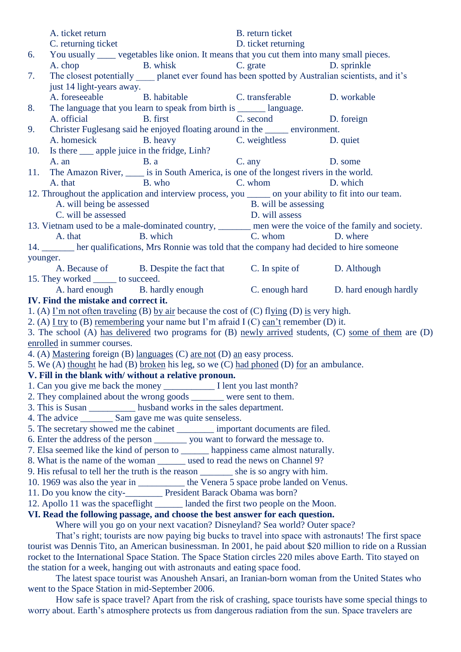|                                                                                                                                                               | A. ticket return                                                                                        | B. return ticket                       |  |  |
|---------------------------------------------------------------------------------------------------------------------------------------------------------------|---------------------------------------------------------------------------------------------------------|----------------------------------------|--|--|
|                                                                                                                                                               | C. returning ticket                                                                                     | D. ticket returning                    |  |  |
| 6.                                                                                                                                                            | You usually _____ vegetables like onion. It means that you cut them into many small pieces.             |                                        |  |  |
|                                                                                                                                                               | B. whisk<br>A. chop                                                                                     | C. grate D. sprinkle                   |  |  |
| 7.                                                                                                                                                            | The closest potentially ______ planet ever found has been spotted by Australian scientists, and it's    |                                        |  |  |
|                                                                                                                                                               | just 14 light-years away.                                                                               |                                        |  |  |
|                                                                                                                                                               | A. foreseeable<br>B. habitable C. transferable D. workable                                              |                                        |  |  |
| 8.                                                                                                                                                            | The language that you learn to speak from birth is _______ language.                                    |                                        |  |  |
|                                                                                                                                                               | A. official B. first                                                                                    | C. second<br>D. foreign                |  |  |
| 9.                                                                                                                                                            | Christer Fuglesang said he enjoyed floating around in the _______ environment.                          |                                        |  |  |
|                                                                                                                                                               | A. homesick B. heavy C. weightless D. quiet                                                             |                                        |  |  |
| 10.                                                                                                                                                           | Is there <u>equippenent</u> in the fridge, Linh?                                                        |                                        |  |  |
|                                                                                                                                                               | A. an B. a                                                                                              | C. any D. some                         |  |  |
| 11.                                                                                                                                                           | The Amazon River, _____ is in South America, is one of the longest rivers in the world.                 |                                        |  |  |
|                                                                                                                                                               | B. who<br>A. that                                                                                       | C. whom D. which                       |  |  |
|                                                                                                                                                               | 12. Throughout the application and interview process, you _______ on your ability to fit into our team. |                                        |  |  |
|                                                                                                                                                               | A. will being be assessed                                                                               | B. will be assessing<br>D. will assess |  |  |
|                                                                                                                                                               | C. will be assessed                                                                                     |                                        |  |  |
|                                                                                                                                                               | 13. Vietnam used to be a male-dominated country, ______ men were the voice of the family and society.   |                                        |  |  |
|                                                                                                                                                               | B. which<br>A. that                                                                                     | C. whom D. where                       |  |  |
| younger.                                                                                                                                                      | 14. ______ her qualifications, Mrs Ronnie was told that the company had decided to hire someone         |                                        |  |  |
|                                                                                                                                                               | A. Because of B. Despite the fact that C. In spite of D. Although                                       |                                        |  |  |
|                                                                                                                                                               | 15. They worked ______ to succeed.                                                                      |                                        |  |  |
|                                                                                                                                                               | A. hard enough B. hardly enough B. bardly enough C. enough hard D. hard enough hardly                   |                                        |  |  |
|                                                                                                                                                               | IV. Find the mistake and correct it.                                                                    |                                        |  |  |
|                                                                                                                                                               | 1. (A) $\Gamma$ m not often traveling (B) by air because the cost of (C) flying (D) is very high.       |                                        |  |  |
|                                                                                                                                                               | 2. (A) I try to (B) remembering your name but I'm afraid I (C) can't remember (D) it.                   |                                        |  |  |
|                                                                                                                                                               | 3. The school (A) has delivered two programs for (B) newly arrived students, (C) some of them are (D)   |                                        |  |  |
|                                                                                                                                                               | enrolled in summer courses.                                                                             |                                        |  |  |
| 4. (A) Mastering foreign (B) languages (C) are not (D) an easy process.                                                                                       |                                                                                                         |                                        |  |  |
| 5. We (A) thought he had (B) broken his leg, so we (C) had phoned (D) for an ambulance.                                                                       |                                                                                                         |                                        |  |  |
|                                                                                                                                                               | V. Fill in the blank with/ without a relative pronoun.                                                  |                                        |  |  |
|                                                                                                                                                               |                                                                                                         |                                        |  |  |
| 2. They complained about the wrong goods _______ were sent to them.                                                                                           |                                                                                                         |                                        |  |  |
| 3. This is Susan ___________ husband works in the sales department.                                                                                           |                                                                                                         |                                        |  |  |
| 4. The advice __________ Sam gave me was quite senseless.                                                                                                     |                                                                                                         |                                        |  |  |
| 5. The secretary showed me the cabinet __________ important documents are filed.                                                                              |                                                                                                         |                                        |  |  |
| 6. Enter the address of the person _________ you want to forward the message to.                                                                              |                                                                                                         |                                        |  |  |
| 7. Elsa seemed like the kind of person to ________ happiness came almost naturally.                                                                           |                                                                                                         |                                        |  |  |
| 8. What is the name of the woman _______ used to read the news on Channel 9?                                                                                  |                                                                                                         |                                        |  |  |
| 9. His refusal to tell her the truth is the reason ________ she is so angry with him.                                                                         |                                                                                                         |                                        |  |  |
| 10. 1969 was also the year in ____________ the Venera 5 space probe landed on Venus.                                                                          |                                                                                                         |                                        |  |  |
| 11. Do you know the city-___________ President Barack Obama was born?<br>12. Apollo 11 was the spaceflight _______ landed the first two people on the Moon.   |                                                                                                         |                                        |  |  |
|                                                                                                                                                               |                                                                                                         |                                        |  |  |
| VI. Read the following passage, and choose the best answer for each question.<br>Where will you go on your next vacation? Disneyland? Sea world? Outer space? |                                                                                                         |                                        |  |  |
|                                                                                                                                                               |                                                                                                         |                                        |  |  |

That's right; tourists are now paying big bucks to travel into space with astronauts! The first space tourist was Dennis Tito, an American businessman. In 2001, he paid about \$20 million to ride on a Russian rocket to the International Space Station. The Space Station circles 220 miles above Earth. Tito stayed on the station for a week, hanging out with astronauts and eating space food.

The latest space tourist was Anousheh Ansari, an Iranian-born woman from the United States who went to the Space Station in mid-September 2006.

How safe is space travel? Apart from the risk of crashing, space tourists have some special things to worry about. Earth's atmosphere protects us from dangerous radiation from the sun. Space travelers are